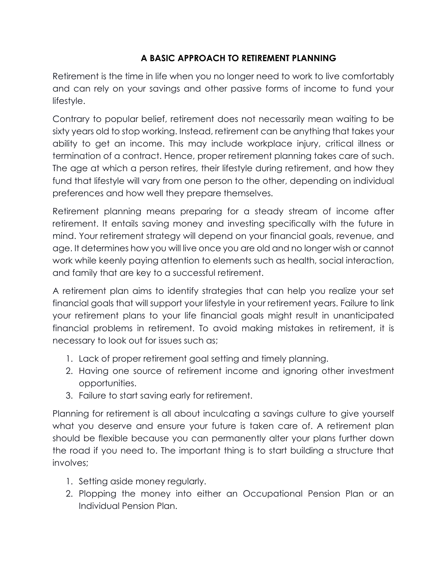## **A BASIC APPROACH TO RETIREMENT PLANNING**

Retirement is the time in life when you no longer need to work to live comfortably and can rely on your savings and other passive forms of income to fund your lifestyle.

Contrary to popular belief, retirement does not necessarily mean waiting to be sixty years old to stop working. Instead, retirement can be anything that takes your ability to get an income. This may include workplace injury, critical illness or termination of a contract. Hence, proper retirement planning takes care of such. The age at which a person retires, their lifestyle during retirement, and how they fund that lifestyle will vary from one person to the other, depending on individual preferences and how well they prepare themselves.

Retirement planning means preparing for a steady stream of income after retirement. It entails saving money and investing specifically with the future in mind. Your retirement strategy will depend on your financial goals, revenue, and age. It determines how you will live once you are old and no longer wish or cannot work while keenly paying attention to elements such as health, social interaction, and family that are key to a successful retirement.

A retirement plan aims to identify strategies that can help you realize your set financial goals that will support your lifestyle in your retirement years. Failure to link your retirement plans to your life financial goals might result in unanticipated financial problems in retirement. To avoid making mistakes in retirement, it is necessary to look out for issues such as;

- 1. Lack of proper retirement goal setting and timely planning.
- 2. Having one source of retirement income and ignoring other investment opportunities.
- 3. Failure to start saving early for retirement.

Planning for retirement is all about inculcating a savings culture to give yourself what you deserve and ensure your future is taken care of. A retirement plan should be flexible because you can permanently alter your plans further down the road if you need to. The important thing is to start building a structure that involves;

- 1. Setting aside money regularly.
- 2. Plopping the money into either an Occupational Pension Plan or an Individual Pension Plan.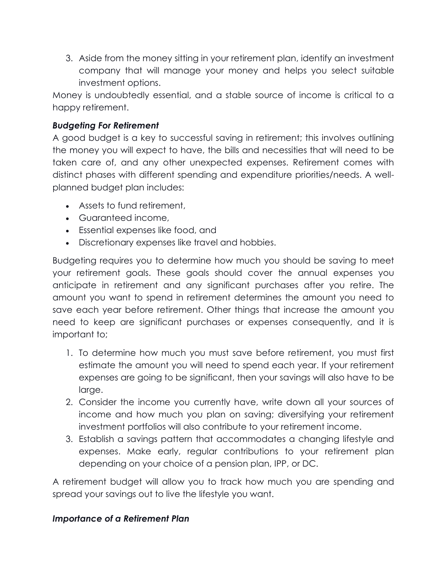3. Aside from the money sitting in your retirement plan, identify an investment company that will manage your money and helps you select suitable investment options.

Money is undoubtedly essential, and a stable source of income is critical to a happy retirement.

## *Budgeting For Retirement*

A good budget is a key to successful saving in retirement; this involves outlining the money you will expect to have, the bills and necessities that will need to be taken care of, and any other unexpected expenses. Retirement comes with distinct phases with different spending and expenditure priorities/needs. A wellplanned budget plan includes:

- Assets to fund retirement,
- Guaranteed income,
- Essential expenses like food, and
- Discretionary expenses like travel and hobbies.

Budgeting requires you to determine how much you should be saving to meet your retirement goals. These goals should cover the annual expenses you anticipate in retirement and any significant purchases after you retire. The amount you want to spend in retirement determines the amount you need to save each year before retirement. Other things that increase the amount you need to keep are significant purchases or expenses consequently, and it is important to;

- 1. To determine how much you must save before retirement, you must first estimate the amount you will need to spend each year. If your retirement expenses are going to be significant, then your savings will also have to be large.
- 2. Consider the income you currently have, write down all your sources of income and how much you plan on saving; diversifying your retirement investment portfolios will also contribute to your retirement income.
- 3. Establish a savings pattern that accommodates a changing lifestyle and expenses. Make early, regular contributions to your retirement plan depending on your choice of a pension plan, IPP, or DC.

A retirement budget will allow you to track how much you are spending and spread your savings out to live the lifestyle you want.

## *Importance of a Retirement Plan*